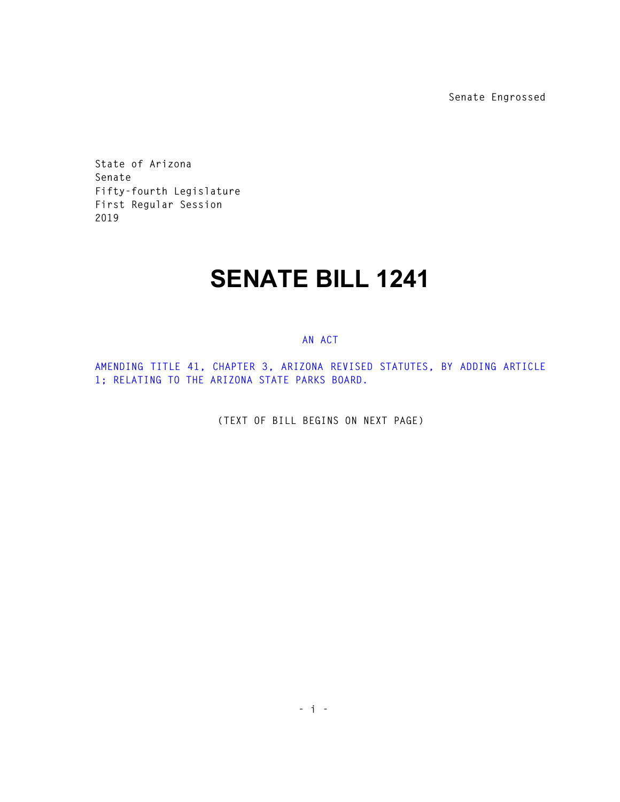**Senate Engrossed** 

**State of Arizona Senate Fifty-fourth Legislature First Regular Session 2019** 

## **SENATE BILL 1241**

## **AN ACT**

**AMENDING TITLE 41, CHAPTER 3, ARIZONA REVISED STATUTES, BY ADDING ARTICLE 1; RELATING TO THE ARIZONA STATE PARKS BOARD.** 

**(TEXT OF BILL BEGINS ON NEXT PAGE)**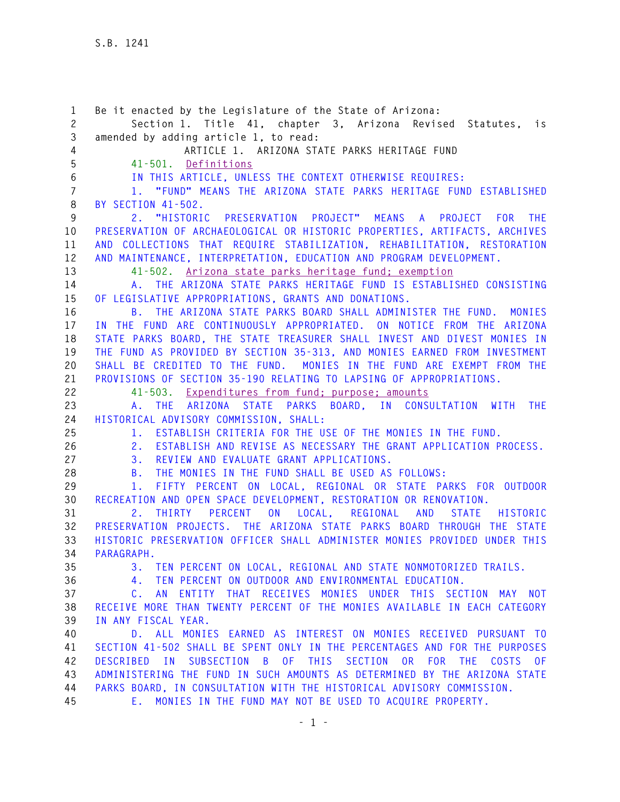**1 Be it enacted by the Legislature of the State of Arizona: 2 Section 1. Title 41, chapter 3, Arizona Revised Statutes, is 3 amended by adding article 1, to read: 4 ARTICLE 1. ARIZONA STATE PARKS HERITAGE FUND 5 41-501. Definitions 6 IN THIS ARTICLE, UNLESS THE CONTEXT OTHERWISE REQUIRES: 7 1. "FUND" MEANS THE ARIZONA STATE PARKS HERITAGE FUND ESTABLISHED 8 BY SECTION 41-502. 9 2. "HISTORIC PRESERVATION PROJECT" MEANS A PROJECT FOR THE 10 PRESERVATION OF ARCHAEOLOGICAL OR HISTORIC PROPERTIES, ARTIFACTS, ARCHIVES 11 AND COLLECTIONS THAT REQUIRE STABILIZATION, REHABILITATION, RESTORATION 12 AND MAINTENANCE, INTERPRETATION, EDUCATION AND PROGRAM DEVELOPMENT. 13 41-502. Arizona state parks heritage fund; exemption 14 A. THE ARIZONA STATE PARKS HERITAGE FUND IS ESTABLISHED CONSISTING 15 OF LEGISLATIVE APPROPRIATIONS, GRANTS AND DONATIONS. 16 B. THE ARIZONA STATE PARKS BOARD SHALL ADMINISTER THE FUND. MONIES 17 IN THE FUND ARE CONTINUOUSLY APPROPRIATED. ON NOTICE FROM THE ARIZONA 18 STATE PARKS BOARD, THE STATE TREASURER SHALL INVEST AND DIVEST MONIES IN 19 THE FUND AS PROVIDED BY SECTION 35-313, AND MONIES EARNED FROM INVESTMENT 20 SHALL BE CREDITED TO THE FUND. MONIES IN THE FUND ARE EXEMPT FROM THE 21 PROVISIONS OF SECTION 35-190 RELATING TO LAPSING OF APPROPRIATIONS. 22 41-503. Expenditures from fund; purpose; amounts 23 A. THE ARIZONA STATE PARKS BOARD, IN CONSULTATION WITH THE 24 HISTORICAL ADVISORY COMMISSION, SHALL: 25 1. ESTABLISH CRITERIA FOR THE USE OF THE MONIES IN THE FUND. 26 2. ESTABLISH AND REVISE AS NECESSARY THE GRANT APPLICATION PROCESS. 27 3. REVIEW AND EVALUATE GRANT APPLICATIONS. 28 B. THE MONIES IN THE FUND SHALL BE USED AS FOLLOWS: 29 1. FIFTY PERCENT ON LOCAL, REGIONAL OR STATE PARKS FOR OUTDOOR 30 RECREATION AND OPEN SPACE DEVELOPMENT, RESTORATION OR RENOVATION. 31 2. THIRTY PERCENT ON LOCAL, REGIONAL AND STATE HISTORIC 32 PRESERVATION PROJECTS. THE ARIZONA STATE PARKS BOARD THROUGH THE STATE 33 HISTORIC PRESERVATION OFFICER SHALL ADMINISTER MONIES PROVIDED UNDER THIS 34 PARAGRAPH. 35 3. TEN PERCENT ON LOCAL, REGIONAL AND STATE NONMOTORIZED TRAILS. 36 4. TEN PERCENT ON OUTDOOR AND ENVIRONMENTAL EDUCATION. 37 C. AN ENTITY THAT RECEIVES MONIES UNDER THIS SECTION MAY NOT 38 RECEIVE MORE THAN TWENTY PERCENT OF THE MONIES AVAILABLE IN EACH CATEGORY 39 IN ANY FISCAL YEAR. 40 D. ALL MONIES EARNED AS INTEREST ON MONIES RECEIVED PURSUANT TO 41 SECTION 41-502 SHALL BE SPENT ONLY IN THE PERCENTAGES AND FOR THE PURPOSES 42 DESCRIBED IN SUBSECTION B OF THIS SECTION OR FOR THE COSTS OF 43 ADMINISTERING THE FUND IN SUCH AMOUNTS AS DETERMINED BY THE ARIZONA STATE 44 PARKS BOARD, IN CONSULTATION WITH THE HISTORICAL ADVISORY COMMISSION. 45 E. MONIES IN THE FUND MAY NOT BE USED TO ACQUIRE PROPERTY.**